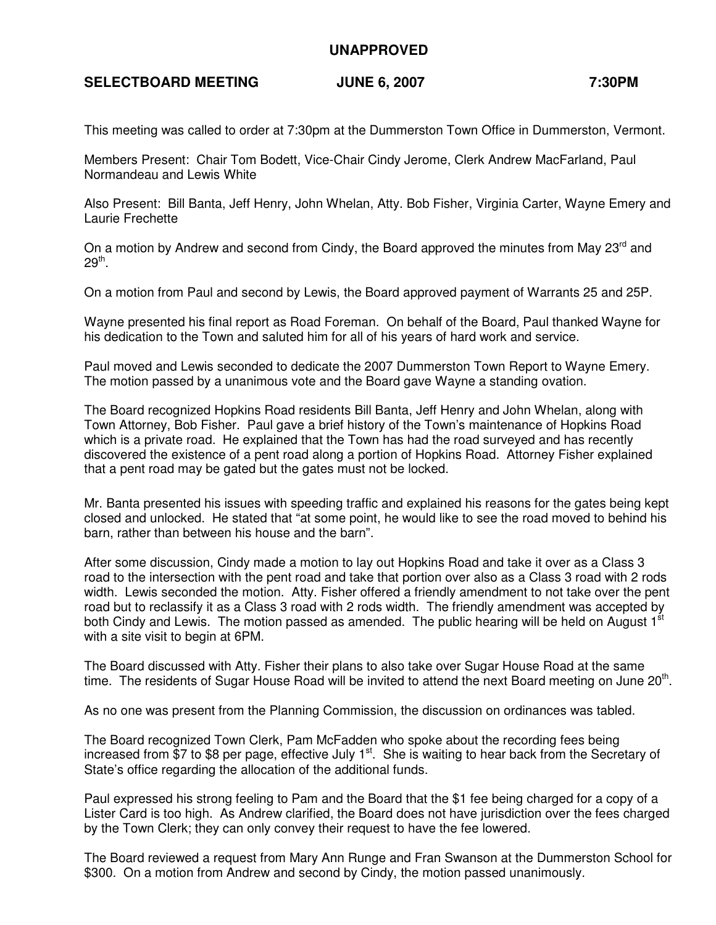## **UNAPPROVED**

## SELECTBOARD MEETING **JUNE 6, 2007** 7:30PM

This meeting was called to order at 7:30pm at the Dummerston Town Office in Dummerston, Vermont.

Members Present: Chair Tom Bodett, Vice-Chair Cindy Jerome, Clerk Andrew MacFarland, Paul Normandeau and Lewis White

Also Present: Bill Banta, Jeff Henry, John Whelan, Atty. Bob Fisher, Virginia Carter, Wayne Emery and Laurie Frechette

On a motion by Andrew and second from Cindy, the Board approved the minutes from May 23<sup>rd</sup> and  $29^{\mathsf{th}}.$ 

On a motion from Paul and second by Lewis, the Board approved payment of Warrants 25 and 25P.

Wayne presented his final report as Road Foreman. On behalf of the Board, Paul thanked Wayne for his dedication to the Town and saluted him for all of his years of hard work and service.

Paul moved and Lewis seconded to dedicate the 2007 Dummerston Town Report to Wayne Emery. The motion passed by a unanimous vote and the Board gave Wayne a standing ovation.

The Board recognized Hopkins Road residents Bill Banta, Jeff Henry and John Whelan, along with Town Attorney, Bob Fisher. Paul gave a brief history of the Town's maintenance of Hopkins Road which is a private road. He explained that the Town has had the road surveyed and has recently discovered the existence of a pent road along a portion of Hopkins Road. Attorney Fisher explained that a pent road may be gated but the gates must not be locked.

Mr. Banta presented his issues with speeding traffic and explained his reasons for the gates being kept closed and unlocked. He stated that "at some point, he would like to see the road moved to behind his barn, rather than between his house and the barn".

After some discussion, Cindy made a motion to lay out Hopkins Road and take it over as a Class 3 road to the intersection with the pent road and take that portion over also as a Class 3 road with 2 rods width. Lewis seconded the motion. Atty. Fisher offered a friendly amendment to not take over the pent road but to reclassify it as a Class 3 road with 2 rods width. The friendly amendment was accepted by both Cindy and Lewis. The motion passed as amended. The public hearing will be held on August  $1<sup>st</sup>$ with a site visit to begin at 6PM.

The Board discussed with Atty. Fisher their plans to also take over Sugar House Road at the same time. The residents of Sugar House Road will be invited to attend the next Board meeting on June 20<sup>th</sup>.

As no one was present from the Planning Commission, the discussion on ordinances was tabled.

The Board recognized Town Clerk, Pam McFadden who spoke about the recording fees being increased from  $$7$  to \$8 per page, effective July  $1<sup>st</sup>$ . She is waiting to hear back from the Secretary of State's office regarding the allocation of the additional funds.

Paul expressed his strong feeling to Pam and the Board that the \$1 fee being charged for a copy of a Lister Card is too high. As Andrew clarified, the Board does not have jurisdiction over the fees charged by the Town Clerk; they can only convey their request to have the fee lowered.

The Board reviewed a request from Mary Ann Runge and Fran Swanson at the Dummerston School for \$300. On a motion from Andrew and second by Cindy, the motion passed unanimously.